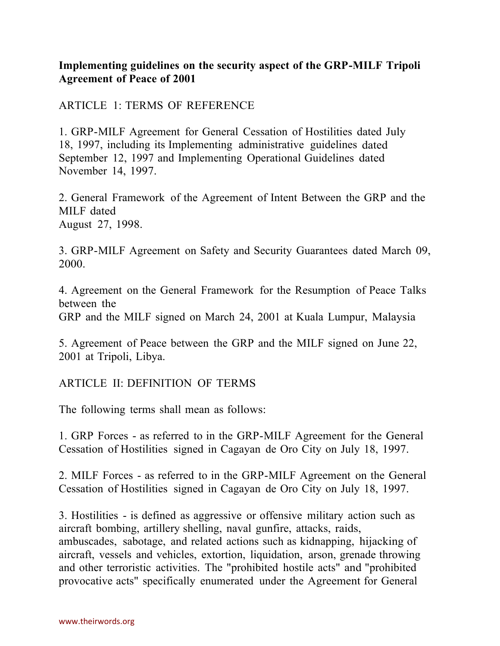## **Implementing guidelines on the security aspect of the GRP-MILF Tripoli Agreement of Peace of 2001**

ARTICLE 1: TERMS OF REFERENCE

1. GRP-MILF Agreement for General Cessation of Hostilities dated July 18, 1997, including its Implementing administrative guidelines dated September 12, 1997 and Implementing Operational Guidelines dated November 14, 1997.

2. General Framework of the Agreement of Intent Between the GRP and the MILF dated August 27, 1998.

3. GRP-MILF Agreement on Safety and Security Guarantees dated March 09, 2000.

4. Agreement on the General Framework for the Resumption of Peace Talks between the

GRP and the MILF signed on March 24, 2001 at Kuala Lumpur, Malaysia

5. Agreement of Peace between the GRP and the MILF signed on June 22, 2001 at Tripoli, Libya.

## ARTICLE II: DEFINITION OF TERMS

The following terms shall mean as follows:

1. GRP Forces - as referred to in the GRP-MILF Agreement for the General Cessation of Hostilities signed in Cagayan de Oro City on July 18, 1997.

2. MILF Forces - as referred to in the GRP-MILF Agreement on the General Cessation of Hostilities signed in Cagayan de Oro City on July 18, 1997.

3. Hostilities - is defined as aggressive or offensive military action such as aircraft bombing, artillery shelling, naval gunfire, attacks, raids, ambuscades, sabotage, and related actions such as kidnapping, hijacking of aircraft, vessels and vehicles, extortion, liquidation, arson, grenade throwing and other terroristic activities. The "prohibited hostile acts" and "prohibited provocative acts" specifically enumerated under the Agreement for General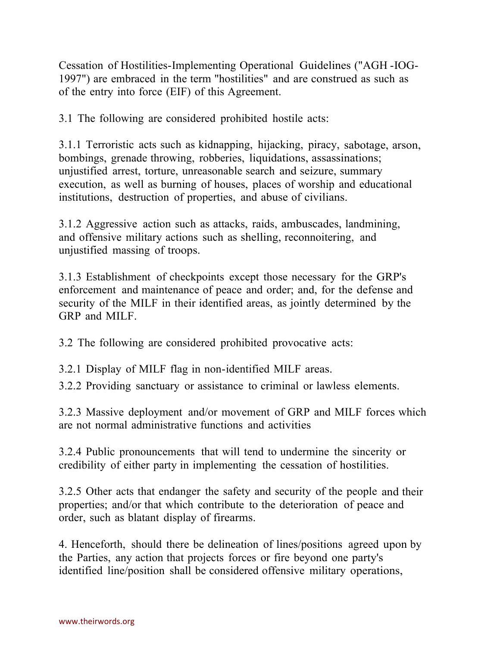Cessation of Hostilities-Implementing Operational Guidelines ("AGH -IOG-1997") are embraced in the term "hostilities" and are construed as such as of the entry into force (EIF) of this Agreement.

3.1 The following are considered prohibited hostile acts:

3.1.1 Terroristic acts such as kidnapping, hijacking, piracy, sabotage, arson, bombings, grenade throwing, robberies, liquidations, assassinations; unjustified arrest, torture, unreasonable search and seizure, summary execution, as well as burning of houses, places of worship and educational institutions, destruction of properties, and abuse of civilians.

3.1.2 Aggressive action such as attacks, raids, ambuscades, landmining, and offensive military actions such as shelling, reconnoitering, and unjustified massing of troops.

3.1.3 Establishment of checkpoints except those necessary for the GRP's enforcement and maintenance of peace and order; and, for the defense and security of the MILF in their identified areas, as jointly determined by the GRP and MILF.

3.2 The following are considered prohibited provocative acts:

3.2.1 Display of MILF flag in non-identified MILF areas.

3.2.2 Providing sanctuary or assistance to criminal or lawless elements.

3.2.3 Massive deployment and/or movement of GRP and MILF forces which are not normal administrative functions and activities

3.2.4 Public pronouncements that will tend to undermine the sincerity or credibility of either party in implementing the cessation of hostilities.

3.2.5 Other acts that endanger the safety and security of the people and their properties; and/or that which contribute to the deterioration of peace and order, such as blatant display of firearms.

4. Henceforth, should there be delineation of lines/positions agreed upon by the Parties, any action that projects forces or fire beyond one party's identified line/position shall be considered offensive military operations,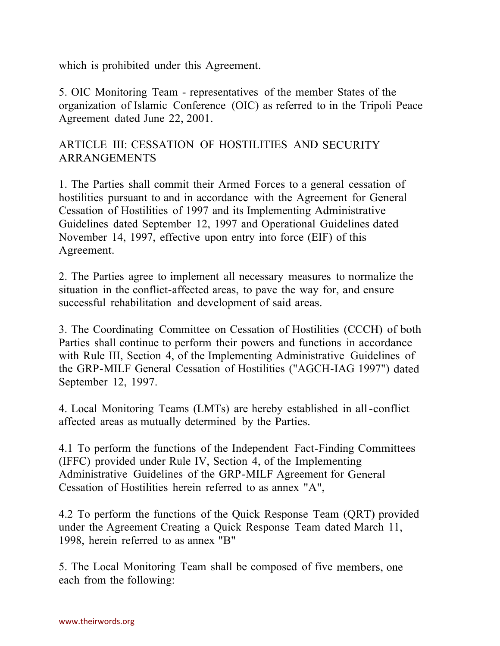which is prohibited under this Agreement.

5. OIC Monitoring Team - representatives of the member States of the organization of Islamic Conference (OIC) as referred to in the Tripoli Peace Agreement dated June 22, 2001.

## ARTICLE III: CESSATION OF HOSTILITIES AND SECURITY ARRANGEMENTS

1. The Parties shall commit their Armed Forces to a general cessation of hostilities pursuant to and in accordance with the Agreement for General Cessation of Hostilities of 1997 and its Implementing Administrative Guidelines dated September 12, 1997 and Operational Guidelines dated November 14, 1997, effective upon entry into force (EIF) of this Agreement.

2. The Parties agree to implement all necessary measures to normalize the situation in the conflict-affected areas, to pave the way for, and ensure successful rehabilitation and development of said areas.

3. The Coordinating Committee on Cessation of Hostilities (CCCH) of both Parties shall continue to perform their powers and functions in accordance with Rule III, Section 4, of the Implementing Administrative Guidelines of the GRP-MILF General Cessation of Hostilities ("AGCH-IAG 1997") dated September 12, 1997.

4. Local Monitoring Teams (LMTs) are hereby established in all-conflict affected areas as mutually determined by the Parties.

4.1 To perform the functions of the Independent Fact-Finding Committees (IFFC) provided under Rule IV, Section 4, of the Implementing Administrative Guidelines of the GRP-MILF Agreement for General Cessation of Hostilities herein referred to as annex "A",

4.2 To perform the functions of the Quick Response Team (QRT) provided under the Agreement Creating a Quick Response Team dated March 11, 1998, herein referred to as annex "B"

5. The Local Monitoring Team shall be composed of five members, one each from the following: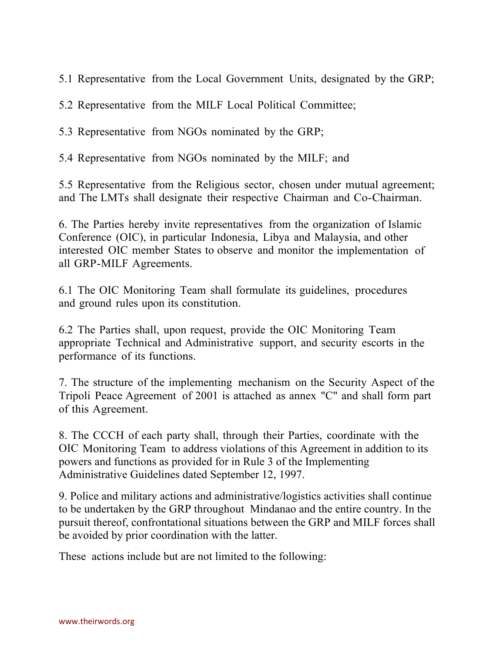5.1 Representative from the Local Government Units, designated by the GRP;

5.2 Representative from the MILF Local Political Committee;

5.3 Representative from NGOs nominated by the GRP;

5.4 Representative from NGOs nominated by the MILF; and

5.5 Representative from the Religious sector, chosen under mutual agreement; and The LMTs shall designate their respective Chairman and Co-Chairman.

6. The Parties hereby invite representatives from the organization of Islamic Conference (OIC), in particular Indonesia, Libya and Malaysia, and other interested OIC member States to observe and monitor the implementation of all GRP-MILF Agreements.

6.1 The OIC Monitoring Team shall formulate its guidelines, procedures and ground rules upon its constitution.

6.2 The Parties shall, upon request, provide the OIC Monitoring Team appropriate Technical and Administrative support, and security escorts in the performance of its functions.

7. The structure of the implementing mechanism on the Security Aspect of the Tripoli Peace Agreement of 2001 is attached as annex "C" and shall form part of this Agreement.

8. The CCCH of each party shall, through their Parties, coordinate with the OIC Monitoring Team to address violations of this Agreement in addition to its powers and functions as provided for in Rule 3 of the Implementing Administrative Guidelines dated September 12, 1997.

9. Police and military actions and administrative/logistics activities shall continue to be undertaken by the GRP throughout Mindanao and the entire country. In the pursuit thereof, confrontational situations between the GRP and MILF forces shall be avoided by prior coordination with the latter.

These actions include but are not limited to the following: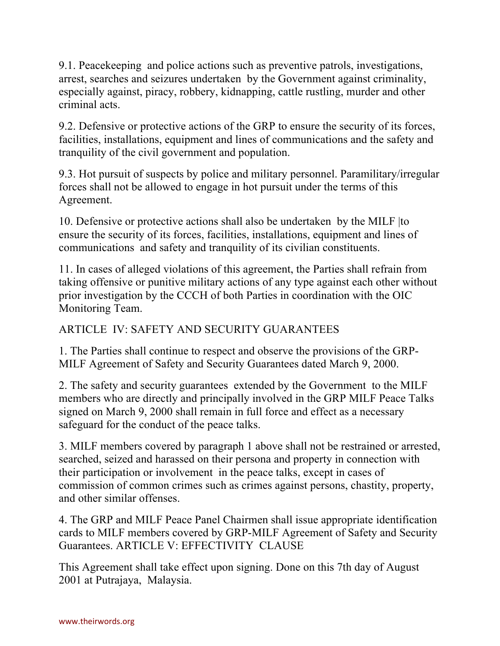9.1. Peacekeeping and police actions such as preventive patrols, investigations, arrest, searches and seizures undertaken by the Government against criminality, especially against, piracy, robbery, kidnapping, cattle rustling, murder and other criminal acts.

9.2. Defensive or protective actions of the GRP to ensure the security of its forces, facilities, installations, equipment and lines of communications and the safety and tranquility of the civil government and population.

9.3. Hot pursuit of suspects by police and military personnel. Paramilitary/irregular forces shall not be allowed to engage in hot pursuit under the terms of this Agreement.

10. Defensive or protective actions shall also be undertaken by the MILF |to ensure the security of its forces, facilities, installations, equipment and lines of communications and safety and tranquility of its civilian constituents.

11. In cases of alleged violations of this agreement, the Parties shall refrain from taking offensive or punitive military actions of any type against each other without prior investigation by the CCCH of both Parties in coordination with the OIC Monitoring Team.

## ARTICLE IV: SAFETY AND SECURITY GUARANTEES

1. The Parties shall continue to respect and observe the provisions of the GRP-MILF Agreement of Safety and Security Guarantees dated March 9, 2000.

2. The safety and security guarantees extended by the Government to the MILF members who are directly and principally involved in the GRP MILF Peace Talks signed on March 9, 2000 shall remain in full force and effect as a necessary safeguard for the conduct of the peace talks.

3. MILF members covered by paragraph 1 above shall not be restrained or arrested, searched, seized and harassed on their persona and property in connection with their participation or involvement in the peace talks, except in cases of commission of common crimes such as crimes against persons, chastity, property, and other similar offenses.

4. The GRP and MILF Peace Panel Chairmen shall issue appropriate identification cards to MILF members covered by GRP-MILF Agreement of Safety and Security Guarantees. ARTICLE V: EFFECTIVITY CLAUSE

This Agreement shall take effect upon signing. Done on this 7th day of August 2001 at Putrajaya, Malaysia.